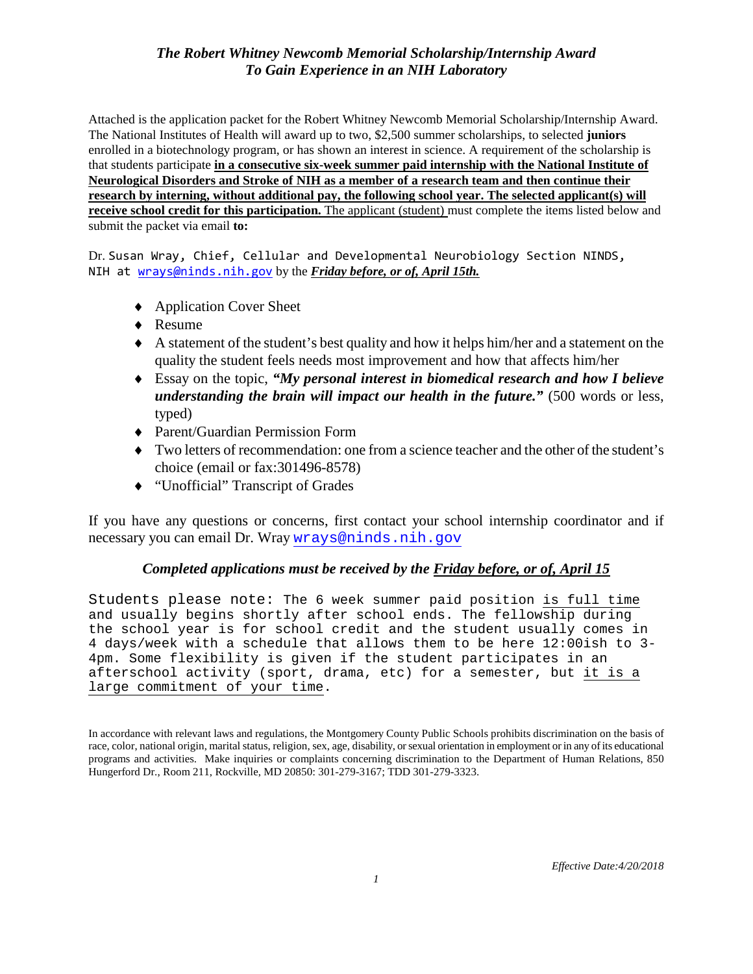Attached is the application packet for the Robert Whitney Newcomb Memorial Scholarship/Internship Award. The National Institutes of Health will award up to two, \$2,500 summer scholarships, to selected **juniors** enrolled in a biotechnology program, or has shown an interest in science. A requirement of the scholarship is that students participate **in a consecutive six-week summer paid internship with the National Institute of Neurological Disorders and Stroke of NIH as a member of a research team and then continue their research by interning, without additional pay, the following school year. The selected applicant(s) will receive school credit for this participation.** The applicant (student) must complete the items listed below and submit the packet via email **to:** 

Dr. Susan Wray, Chief, Cellular and Developmental Neurobiology Section NINDS, NIH at [wrays@ninds.nih.gov](mailto:wrays@ninds.nih.gov) by the *Friday before, or of, April 15th.*

- ♦ Application Cover Sheet
- ♦ Resume
- ♦ A statement of the student's best quality and how it helps him/her and a statement on the quality the student feels needs most improvement and how that affects him/her
- ♦ Essay on the topic, *"My personal interest in biomedical research and how I believe understanding the brain will impact our health in the future."* (500 words or less, typed)
- ♦ Parent/Guardian Permission Form
- ♦ Two letters of recommendation: one from a science teacher and the other of the student's choice (email or fax:301496-8578)
- ♦ "Unofficial" Transcript of Grades

If you have any questions or concerns, first contact your school internship coordinator and if necessary you can email Dr. Wray [wrays@ninds.nih.gov](mailto:wrays@ninds.nih.gov)

## *Completed applications must be received by the Friday before, or of, April 15*

Students please note: The 6 week summer paid position is full time and usually begins shortly after school ends. The fellowship during the school year is for school credit and the student usually comes in 4 days/week with a schedule that allows them to be here 12:00ish to 3- 4pm. Some flexibility is given if the student participates in an afterschool activity (sport, drama, etc) for a semester, but it is a large commitment of your time.

In accordance with relevant laws and regulations, the Montgomery County Public Schools prohibits discrimination on the basis of race, color, national origin, marital status, religion, sex, age, disability, or sexual orientation in employment or in any of its educational programs and activities. Make inquiries or complaints concerning discrimination to the Department of Human Relations, 850 Hungerford Dr., Room 211, Rockville, MD 20850: 301-279-3167; TDD 301-279-3323.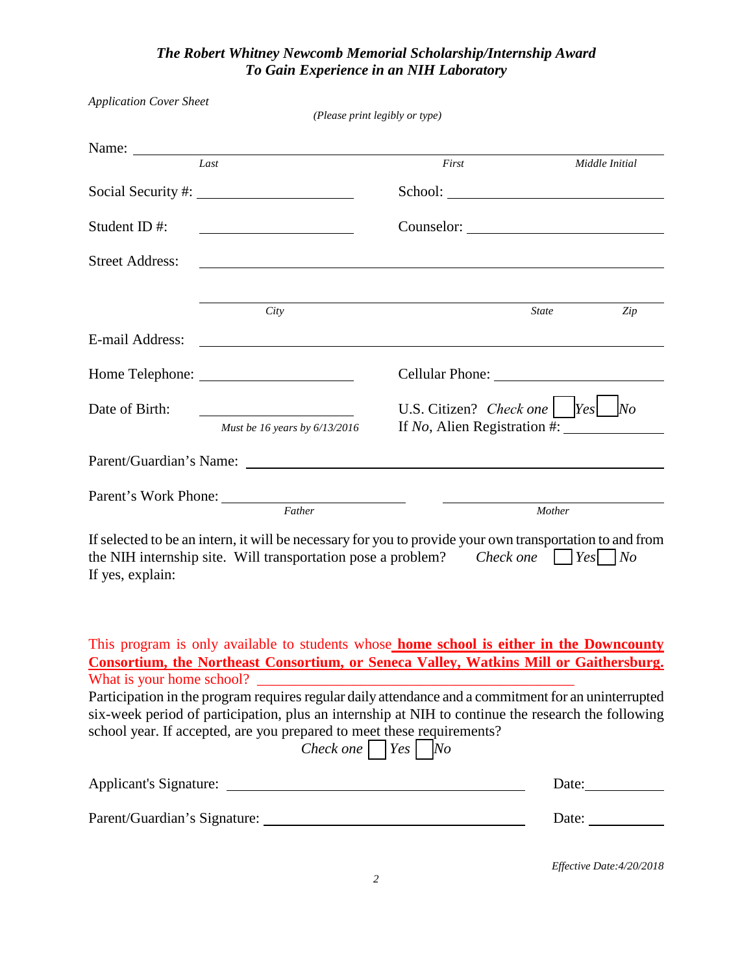| <b>Application Cover Sheet</b>                                            | (Please print legibly or type)                                                                                                                                                                                                                                                                                                                                                                                                                                                                                                    |                                    |                                                        |
|---------------------------------------------------------------------------|-----------------------------------------------------------------------------------------------------------------------------------------------------------------------------------------------------------------------------------------------------------------------------------------------------------------------------------------------------------------------------------------------------------------------------------------------------------------------------------------------------------------------------------|------------------------------------|--------------------------------------------------------|
| Name: $\frac{1}{\sqrt{1-\frac{1}{2}}\cdot\frac{1}{\sqrt{1-\frac{1}{2}}}}$ |                                                                                                                                                                                                                                                                                                                                                                                                                                                                                                                                   |                                    |                                                        |
|                                                                           | Last                                                                                                                                                                                                                                                                                                                                                                                                                                                                                                                              | First                              | Middle Initial                                         |
|                                                                           |                                                                                                                                                                                                                                                                                                                                                                                                                                                                                                                                   |                                    |                                                        |
| Student ID#:                                                              | <u> 1990 - Johann Barbara, martin a</u>                                                                                                                                                                                                                                                                                                                                                                                                                                                                                           |                                    |                                                        |
| <b>Street Address:</b>                                                    | <u> 1989 - Johann Stoff, amerikansk politiker (d. 1989)</u>                                                                                                                                                                                                                                                                                                                                                                                                                                                                       |                                    |                                                        |
|                                                                           | City                                                                                                                                                                                                                                                                                                                                                                                                                                                                                                                              |                                    | <b>State</b><br>Zip                                    |
| E-mail Address:                                                           |                                                                                                                                                                                                                                                                                                                                                                                                                                                                                                                                   |                                    |                                                        |
|                                                                           |                                                                                                                                                                                                                                                                                                                                                                                                                                                                                                                                   |                                    |                                                        |
| Date of Birth:                                                            | <u> 1990 - Johann Barbara, martxa a</u><br>Must be 16 years by $6/13/2016$                                                                                                                                                                                                                                                                                                                                                                                                                                                        | U.S. Citizen? Check one $\Box$ Yes | N <sub>O</sub><br>If No, Alien Registration #:         |
|                                                                           |                                                                                                                                                                                                                                                                                                                                                                                                                                                                                                                                   |                                    |                                                        |
|                                                                           |                                                                                                                                                                                                                                                                                                                                                                                                                                                                                                                                   |                                    |                                                        |
|                                                                           | Father                                                                                                                                                                                                                                                                                                                                                                                                                                                                                                                            |                                    | Mother                                                 |
| If yes, explain:                                                          | If selected to be an intern, it will be necessary for you to provide your own transportation to and from<br>the NIH internship site. Will transportation pose a problem? Check one $\sqrt{Yes/N}$                                                                                                                                                                                                                                                                                                                                 |                                    |                                                        |
|                                                                           | This program is only available to students whose home school is either in the Downcounty<br>Consortium, the Northeast Consortium, or Seneca Valley, Watkins Mill or Gaithersburg.<br>Participation in the program requires regular daily attendance and a commitment for an uninterrupted<br>six-week period of participation, plus an internship at NIH to continue the research the following<br>school year. If accepted, are you prepared to meet these requirements?<br>Check one   $\begin{vmatrix} Yes \end{vmatrix}$   No |                                    |                                                        |
|                                                                           |                                                                                                                                                                                                                                                                                                                                                                                                                                                                                                                                   |                                    | Date: $\qquad \qquad$                                  |
|                                                                           |                                                                                                                                                                                                                                                                                                                                                                                                                                                                                                                                   |                                    | Date: $\frac{1}{\sqrt{1-\frac{1}{2}}\cdot\frac{1}{2}}$ |
|                                                                           |                                                                                                                                                                                                                                                                                                                                                                                                                                                                                                                                   |                                    |                                                        |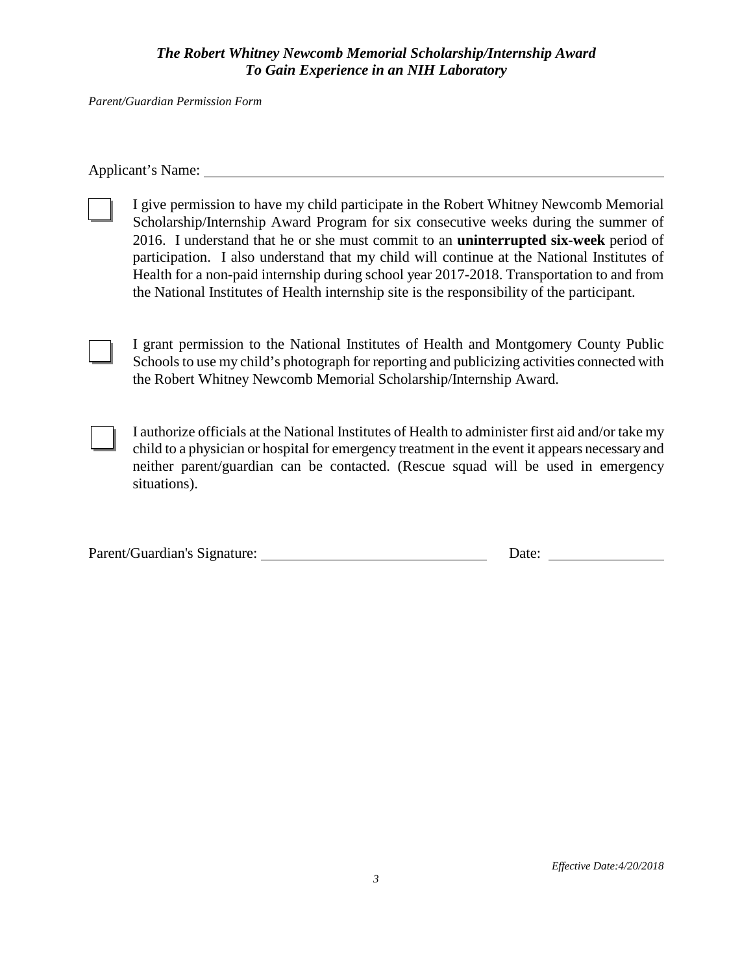*Parent/Guardian Permission Form*

Applicant's Name:

I give permission to have my child participate in the Robert Whitney Newcomb Memorial Scholarship/Internship Award Program for six consecutive weeks during the summer of 2016. I understand that he or she must commit to an **uninterrupted six-week** period of participation. I also understand that my child will continue at the National Institutes of Health for a non-paid internship during school year 2017-2018. Transportation to and from the National Institutes of Health internship site is the responsibility of the participant.

I grant permission to the National Institutes of Health and Montgomery County Public Schools to use my child's photograph for reporting and publicizing activities connected with the Robert Whitney Newcomb Memorial Scholarship/Internship Award.

I authorize officials at the National Institutes of Health to administer first aid and/or take my child to a physician or hospital for emergency treatment in the event it appears necessary and neither parent/guardian can be contacted. (Rescue squad will be used in emergency situations).

| Parent/Guardian's Signature: | Date: |  |
|------------------------------|-------|--|
|                              |       |  |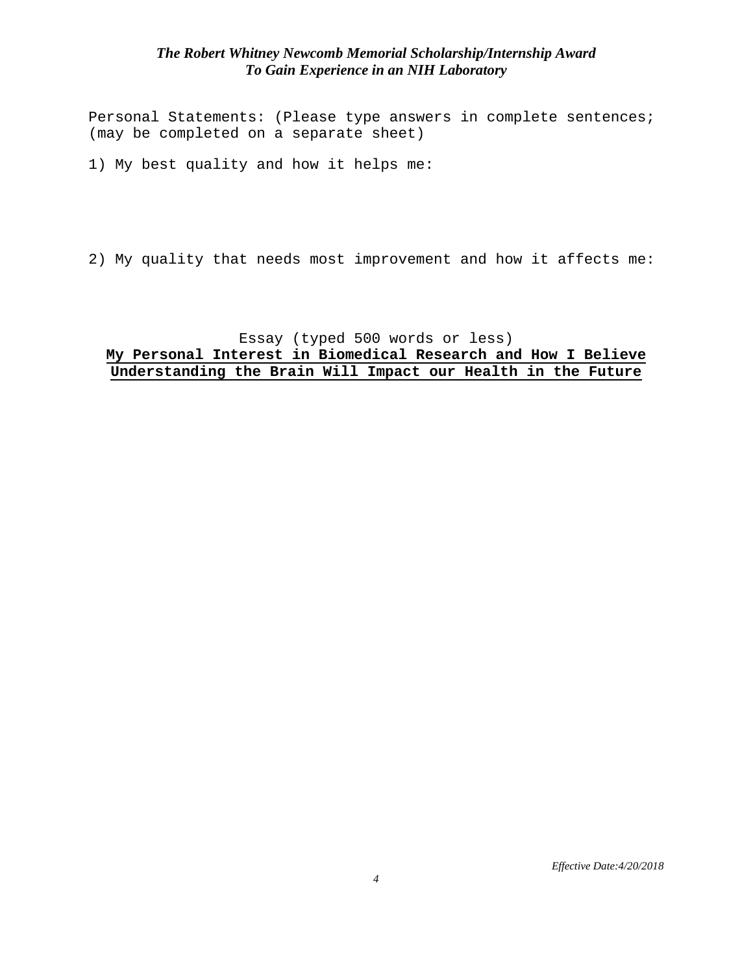Personal Statements: (Please type answers in complete sentences; (may be completed on a separate sheet)

1) My best quality and how it helps me:

2) My quality that needs most improvement and how it affects me:

#### Essay (typed 500 words or less) **My Personal Interest in Biomedical Research and How I Believe Understanding the Brain Will Impact our Health in the Future**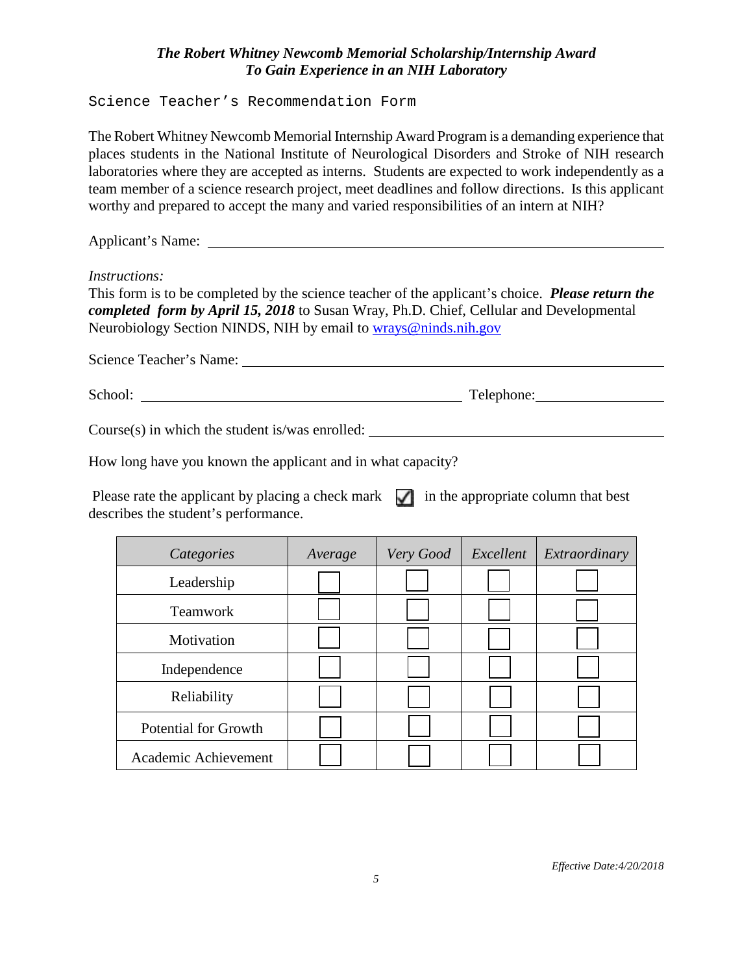Science Teacher's Recommendation Form

The Robert Whitney Newcomb Memorial Internship Award Program is a demanding experience that places students in the National Institute of Neurological Disorders and Stroke of NIH research laboratories where they are accepted as interns. Students are expected to work independently as a team member of a science research project, meet deadlines and follow directions. Is this applicant worthy and prepared to accept the many and varied responsibilities of an intern at NIH?

Applicant's Name:

*Instructions:* 

This form is to be completed by the science teacher of the applicant's choice. *Please return the completed form by April 15, 2018* to Susan Wray, Ph.D. Chief, Cellular and Developmental Neurobiology Section NINDS, NIH by email to [wrays@ninds.nih.gov](mailto:wrays@ninds.nih.gov)

| Science Teacher's Name: |            |
|-------------------------|------------|
|                         |            |
| School:                 | Telephone: |

Course(s) in which the student is/was enrolled:

How long have you known the applicant and in what capacity?

Please rate the applicant by placing a check mark  $\Box$  in the appropriate column that best describes the student's performance.

| Categories                  | Average | Very Good | Excellent | Extraordinary |
|-----------------------------|---------|-----------|-----------|---------------|
| Leadership                  |         |           |           |               |
| <b>Teamwork</b>             |         |           |           |               |
| Motivation                  |         |           |           |               |
| Independence                |         |           |           |               |
| Reliability                 |         |           |           |               |
| <b>Potential for Growth</b> |         |           |           |               |
| Academic Achievement        |         |           |           |               |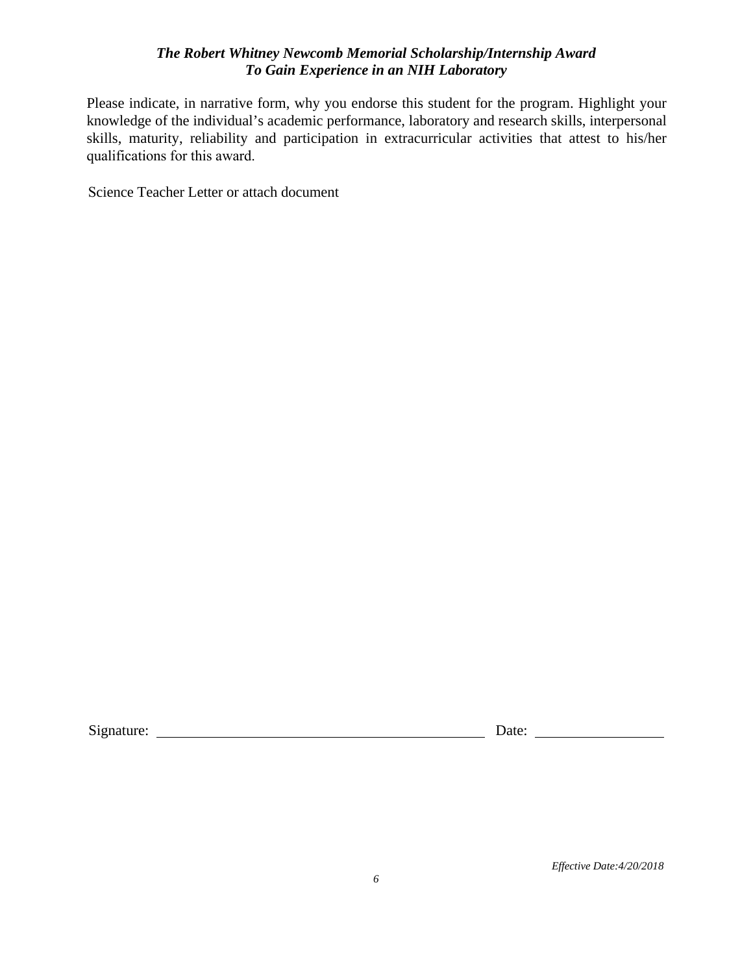Please indicate, in narrative form, why you endorse this student for the program. Highlight your knowledge of the individual's academic performance, laboratory and research skills, interpersonal skills, maturity, reliability and participation in extracurricular activities that attest to his/her qualifications for this award.

Science Teacher Letter or attach document

Signature: Date: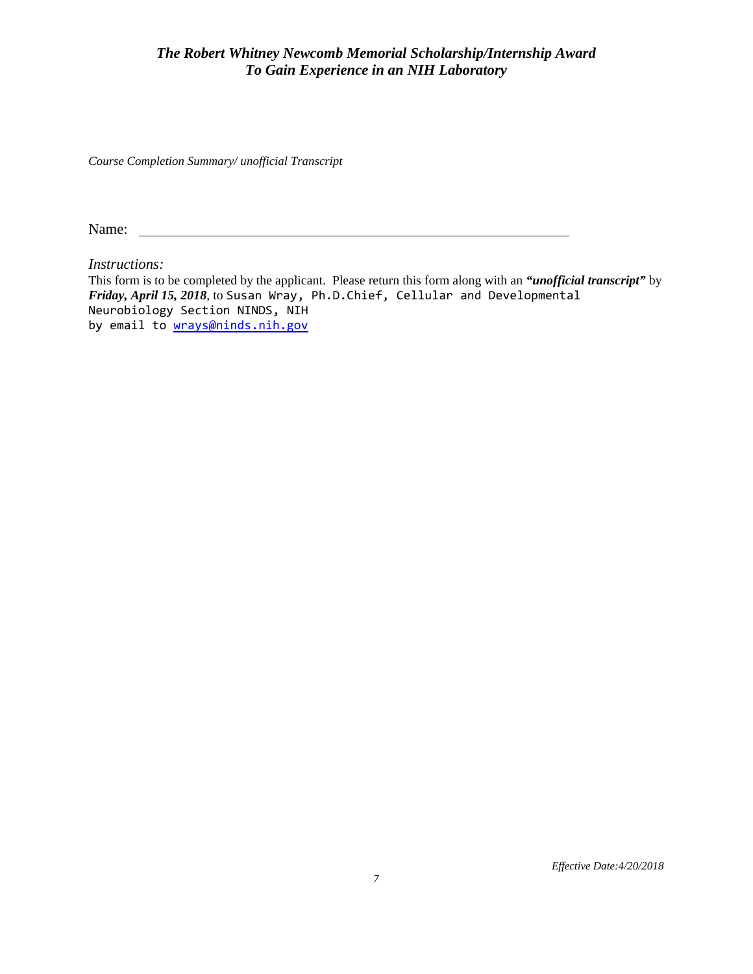*Course Completion Summary/ unofficial Transcript*

Name:

*Instructions:* 

This form is to be completed by the applicant. Please return this form along with an *"unofficial transcript"* by *Friday, April 15, 2018*, to Susan Wray, Ph.D.Chief, Cellular and Developmental Neurobiology Section NINDS, NIH by email to [wrays@ninds.nih.gov](mailto:wrays@ninds.nih.gov)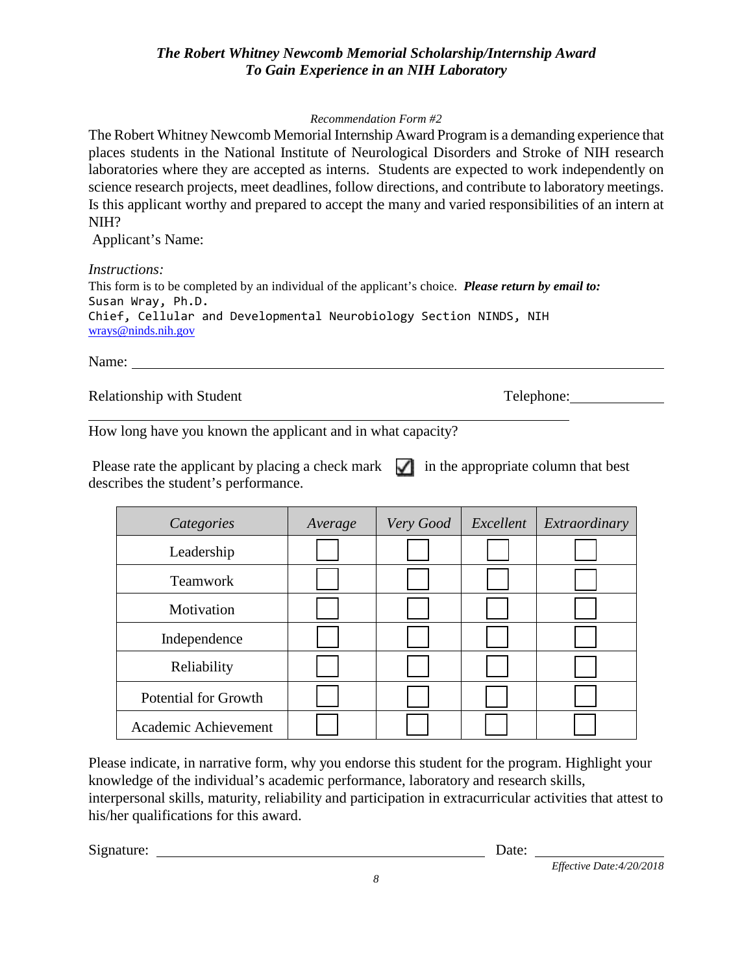#### *Recommendation Form #2*

The Robert Whitney Newcomb Memorial Internship Award Program is a demanding experience that places students in the National Institute of Neurological Disorders and Stroke of NIH research laboratories where they are accepted as interns. Students are expected to work independently on science research projects, meet deadlines, follow directions, and contribute to laboratory meetings. Is this applicant worthy and prepared to accept the many and varied responsibilities of an intern at NIH?

Applicant's Name:

*Instructions:*

This form is to be completed by an individual of the applicant's choice. *Please return by email to:*  Susan Wray, Ph.D. Chief, Cellular and Developmental Neurobiology Section NINDS, NIH [wrays@ninds.nih.gov](mailto:wrays@ninds.nih.gov)

Name:

Relationship with Student Telephone: Telephone:

How long have you known the applicant and in what capacity?

Please rate the applicant by placing a check mark  $\sqrt{\phantom{a}}$  in the appropriate column that best describes the student's performance.

| Categories                  | Average | Very Good | Excellent | Extraordinary |
|-----------------------------|---------|-----------|-----------|---------------|
| Leadership                  |         |           |           |               |
| <b>Teamwork</b>             |         |           |           |               |
| Motivation                  |         |           |           |               |
| Independence                |         |           |           |               |
| Reliability                 |         |           |           |               |
| <b>Potential for Growth</b> |         |           |           |               |
| Academic Achievement        |         |           |           |               |

Please indicate, in narrative form, why you endorse this student for the program. Highlight your knowledge of the individual's academic performance, laboratory and research skills, interpersonal skills, maturity, reliability and participation in extracurricular activities that attest to his/her qualifications for this award.

Signature: Date: Date: